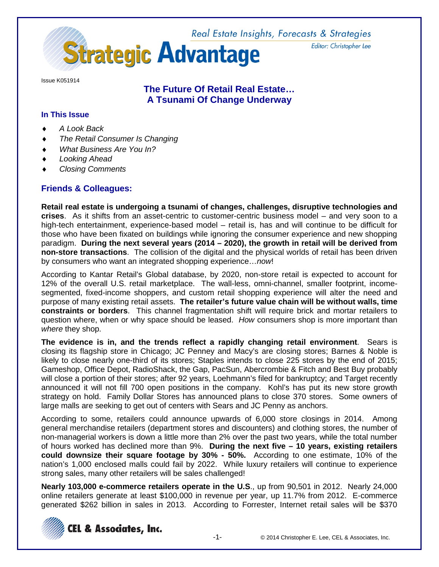Real Estate Insights, Forecasts & Strategies **Strategic Advantage** 

Issue K051914

# **The Future Of Retail Real Estate… A Tsunami Of Change Underway**

### **In This Issue**

- ♦ *A Look Back*
- **The Retail Consumer Is Changing**
- *What Business Are You In?*
- Looking Ahead
- ♦ *Closing Comments*

# **Friends & Colleagues:**

**Retail real estate is undergoing a tsunami of changes, challenges, disruptive technologies and crises**. As it shifts from an asset-centric to customer-centric business model – and very soon to a high-tech entertainment, experience-based model – retail is, has and will continue to be difficult for those who have been fixated on buildings while ignoring the consumer experience and new shopping paradigm. **During the next several years (2014 – 2020), the growth in retail will be derived from non-store transactions**. The collision of the digital and the physical worlds of retail has been driven by consumers who want an integrated shopping experience…*now*!

According to Kantar Retail's Global database, by 2020, non-store retail is expected to account for 12% of the overall U.S. retail marketplace. The wall-less, omni-channel, smaller footprint, incomesegmented, fixed-income shoppers, and custom retail shopping experience will alter the need and purpose of many existing retail assets. **The retailer's future value chain will be without walls, time constraints or borders**. This channel fragmentation shift will require brick and mortar retailers to question where, when or why space should be leased. *How* consumers shop is more important than *where* they shop.

**The evidence is in, and the trends reflect a rapidly changing retail environment**. Sears is closing its flagship store in Chicago; JC Penney and Macy's are closing stores; Barnes & Noble is likely to close nearly one-third of its stores; Staples intends to close 225 stores by the end of 2015; Gameshop, Office Depot, RadioShack, the Gap, PacSun, Abercrombie & Fitch and Best Buy probably will close a portion of their stores; after 92 years, Loehmann's filed for bankruptcy; and Target recently announced it will not fill 700 open positions in the company. Kohl's has put its new store growth strategy on hold. Family Dollar Stores has announced plans to close 370 stores. Some owners of large malls are seeking to get out of centers with Sears and JC Penny as anchors.

According to some, retailers could announce upwards of 6,000 store closings in 2014. Among general merchandise retailers (department stores and discounters) and clothing stores, the number of non-managerial workers is down a little more than 2% over the past two years, while the total number of hours worked has declined more than 9%. **During the next five – 10 years, existing retailers could downsize their square footage by 30% - 50%.** According to one estimate, 10% of the nation's 1,000 enclosed malls could fail by 2022. While luxury retailers will continue to experience strong sales, many other retailers will be sales challenged!

**Nearly 103,000 e-commerce retailers operate in the U.S**., up from 90,501 in 2012. Nearly 24,000 online retailers generate at least \$100,000 in revenue per year, up 11.7% from 2012. E-commerce generated \$262 billion in sales in 2013. According to Forrester, Internet retail sales will be \$370



Editor: Christopher Lee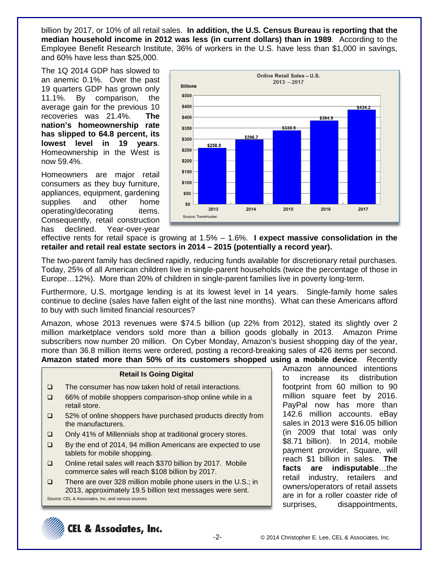billion by 2017, or 10% of all retail sales. **In addition, the U.S. Census Bureau is reporting that the median household income in 2012 was less (in current dollars) than in 1989**. According to the Employee Benefit Research Institute, 36% of workers in the U.S. have less than \$1,000 in savings, and 60% have less than \$25,000.

The 1Q 2014 GDP has slowed to an anemic 0.1%. Over the past 19 quarters GDP has grown only 11.1%. By comparison, the average gain for the previous 10 recoveries was 21.4%. **The nation's homeownership rate has slipped to 64.8 percent, its lowest level in 19 years**. Homeownership in the West is now 59.4%.

Homeowners are major retail consumers as they buy furniture, appliances, equipment, gardening supplies and other home operating/decorating items. Consequently, retail construction has declined. Year-over-year



effective rents for retail space is growing at 1.5% – 1.6%. **I expect massive consolidation in the retailer and retail real estate sectors in 2014 – 2015 (potentially a record year).**

The two-parent family has declined rapidly, reducing funds available for discretionary retail purchases. Today, 25% of all American children live in single-parent households (twice the percentage of those in Europe…12%). More than 20% of children in single-parent families live in poverty long-term.

Furthermore, U.S. mortgage lending is at its lowest level in 14 years. Single-family home sales continue to decline (sales have fallen eight of the last nine months). What can these Americans afford to buy with such limited financial resources?

Amazon, whose 2013 revenues were \$74.5 billion (up 22% from 2012), stated its slightly over 2 million marketplace vendors sold more than a billion goods globally in 2013. Amazon Prime subscribers now number 20 million. On Cyber Monday, Amazon's busiest shopping day of the year, more than 36.8 million items were ordered, posting a record-breaking sales of 426 items per second. **Amazon stated more than 50% of its customers shopped using a mobile device**. Recently

#### **Retail Is Going Digital**

- $\Box$  The consumer has now taken hold of retail interactions.
- □ 66% of mobile shoppers comparison-shop online while in a retail store.
- $\Box$  52% of online shoppers have purchased products directly from the manufacturers.
- □ Only 41% of Millennials shop at traditional grocery stores.
- By the end of 2014, 94 million Americans are expected to use tablets for mobile shopping.
- □ Online retail sales will reach \$370 billion by 2017. Mobile commerce sales will reach \$108 billion by 2017.
- □ There are over 328 million mobile phone users in the U.S.; in 2013, approximately 19.5 billion text messages were sent. Source: CEL & Associates, Inc. and various sources.

Amazon announced intentions to increase its distribution footprint from 60 million to 90 million square feet by 2016. PayPal now has more than 142.6 million accounts. eBay sales in 2013 were \$16.05 billion (in 2009 that total was only \$8.71 billion). In 2014, mobile payment provider, Square, will reach \$1 billion in sales. **The facts are indisputable**…the retail industry, retailers and owners/operators of retail assets are in for a roller coaster ride of surprises, disappointments,

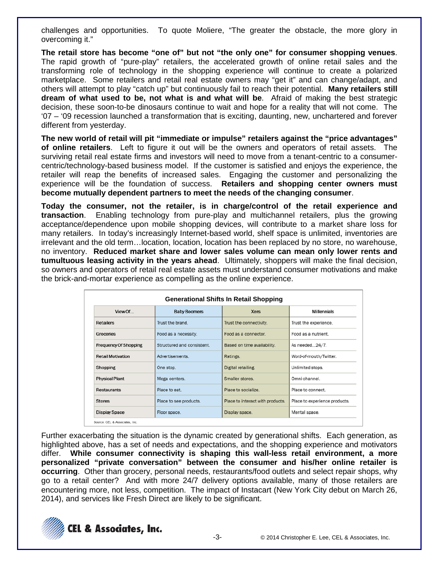challenges and opportunities. To quote Moliere, "The greater the obstacle, the more glory in overcoming it."

**The retail store has become "one of" but not "the only one" for consumer shopping venues**. The rapid growth of "pure-play" retailers, the accelerated growth of online retail sales and the transforming role of technology in the shopping experience will continue to create a polarized marketplace. Some retailers and retail real estate owners may "get it" and can change/adapt, and others will attempt to play "catch up" but continuously fail to reach their potential. **Many retailers still dream of what used to be, not what is and what will be**. Afraid of making the best strategic decision, these soon-to-be dinosaurs continue to wait and hope for a reality that will not come. The '07 – '09 recession launched a transformation that is exciting, daunting, new, unchartered and forever different from yesterday.

**The new world of retail will pit "immediate or impulse" retailers against the "price advantages" of online retailers**. Left to figure it out will be the owners and operators of retail assets. The surviving retail real estate firms and investors will need to move from a tenant-centric to a consumercentric/technology-based business model. If the customer is satisfied and enjoys the experience, the retailer will reap the benefits of increased sales. Engaging the customer and personalizing the experience will be the foundation of success. **Retailers and shopping center owners must become mutually dependent partners to meet the needs of the changing consumer**.

**Today the consumer, not the retailer, is in charge/control of the retail experience and transaction**. Enabling technology from pure-play and multichannel retailers, plus the growing acceptance/dependence upon mobile shopping devices, will contribute to a market share loss for many retailers. In today's increasingly Internet-based world, shelf space is unlimited, inventories are irrelevant and the old term…location, location, location has been replaced by no store, no warehouse, no inventory. **Reduced market share and lower sales volume can mean only lower rents and tumultuous leasing activity in the years ahead**. Ultimately, shoppers will make the final decision, so owners and operators of retail real estate assets must understand consumer motivations and make the brick-and-mortar experience as compelling as the online experience.

| View Of<br><b>Baby Boomers</b> |                                  | <b>Xers</b>                      | <b>Millennials</b>            |  |
|--------------------------------|----------------------------------|----------------------------------|-------------------------------|--|
| <b>Retailers</b>               | Trust the brand                  | Trust the connectivity.          | Trust the experience.         |  |
| Groceries                      | Food as a necessity.             | Food as a connector.             | Food as a nutrient.           |  |
| <b>Frequency Of Shopping</b>   | Structured and consistent.       | Based on time availability.      | As needed24/7.                |  |
| <b>Retail Motivation</b>       | Advertisements                   | Ratings.                         | Word-of-mouth/Twitter.        |  |
| Shopping                       | One stop.                        | Digital retailing.               | Unlimited stops.              |  |
| <b>Physical Plant</b>          | Smaller stores.<br>Mega centers. |                                  | Omni-channel.                 |  |
| <b>Restaurants</b>             | Place to eat.                    | Place to socialize.              | Place to connect.             |  |
| <b>Stores</b>                  | Place to see products.           | Place to interact with products. | Place to experience products. |  |
| <b>Display Space</b>           | Floor space.                     | Display space.                   | Mental space.                 |  |

Further exacerbating the situation is the dynamic created by generational shifts. Each generation, as highlighted above, has a set of needs and expectations, and the shopping experience and motivators differ. **While consumer connectivity is shaping this wall-less retail environment, a more personalized "private conversation" between the consumer and his/her online retailer is occurring**. Other than grocery, personal needs, restaurants/food outlets and select repair shops, why go to a retail center? And with more 24/7 delivery options available, many of those retailers are encountering more, not less, competition. The impact of Instacart (New York City debut on March 26, 2014), and services like Fresh Direct are likely to be significant.

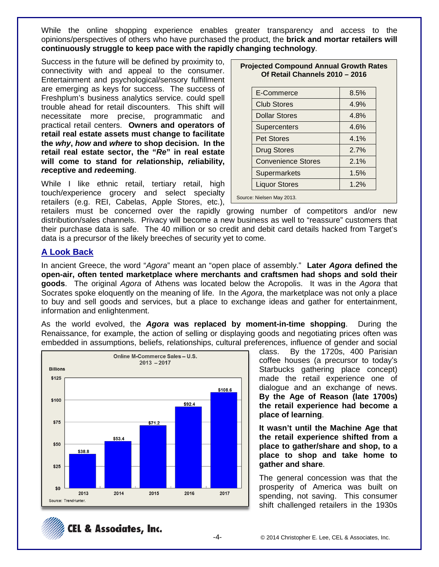While the online shopping experience enables greater transparency and access to the opinions/perspectives of others who have purchased the product, the **brick and mortar retailers will continuously struggle to keep pace with the rapidly changing technology**.

Success in the future will be defined by proximity to, connectivity with and appeal to the consumer. Entertainment and psychological/sensory fulfillment are emerging as keys for success. The success of Freshplum's business analytics service. could spell trouble ahead for retail discounters. This shift will necessitate more precise, programmatic and practical retail centers. **Owners and operators of retail real estate assets must change to facilitate the** *why***,** *how* **and** *where* **to shop decision. In the retail real estate sector, the "***Re***" in real estate will come to stand for** *re***lationship,** *re***liability,**  *re***ceptive and** *re***deeming**.

While I like ethnic retail, tertiary retail, high touch/experience grocery and select specialty retailers (e.g. REI, Cabelas, Apple Stores, etc.),

| <b>Projected Compound Annual Growth Rates</b> |
|-----------------------------------------------|
| Of Retail Channels 2010 - 2016                |

| E-Commerce                | 8.5% |
|---------------------------|------|
| <b>Club Stores</b>        | 4.9% |
| <b>Dollar Stores</b>      | 4.8% |
| Supercenters              | 4.6% |
| <b>Pet Stores</b>         | 4.1% |
| <b>Drug Stores</b>        | 2.7% |
| <b>Convenience Stores</b> | 2.1% |
| Supermarkets              | 1.5% |
| <b>Liquor Stores</b>      | 1.2% |
| Source: Nielsen May 2013. |      |
|                           |      |

retailers must be concerned over the rapidly growing number of competitors and/or new distribution/sales channels. Privacy will become a new business as well to "reassure" customers that their purchase data is safe. The 40 million or so credit and debit card details hacked from Target's data is a precursor of the likely breeches of security yet to come.

### **A Look Back**

In ancient Greece, the word "*Agora*" meant an "open place of assembly." **Later** *Agora* **defined the open-air, often tented marketplace where merchants and craftsmen had shops and sold their goods**. The original *Agora* of Athens was located below the Acropolis. It was in the *Agora* that Socrates spoke eloquently on the meaning of life. In the *Agora*, the marketplace was not only a place to buy and sell goods and services, but a place to exchange ideas and gather for entertainment, information and enlightenment.

As the world evolved, the *Agora* **was replaced by moment-in-time shopping**. During the Renaissance, for example, the action of selling or displaying goods and negotiating prices often was embedded in assumptions, beliefs, relationships, cultural preferences, influence of gender and social



class. By the 1720s, 400 Parisian coffee houses (a precursor to today's Starbucks gathering place concept) made the retail experience one of dialogue and an exchange of news. **By the Age of Reason (late 1700s) the retail experience had become a place of learning**.

**It wasn't until the Machine Age that the retail experience shifted from a place to gather/share and shop, to a place to shop and take home to gather and share**.

The general concession was that the prosperity of America was built on spending, not saving. This consumer shift challenged retailers in the 1930s

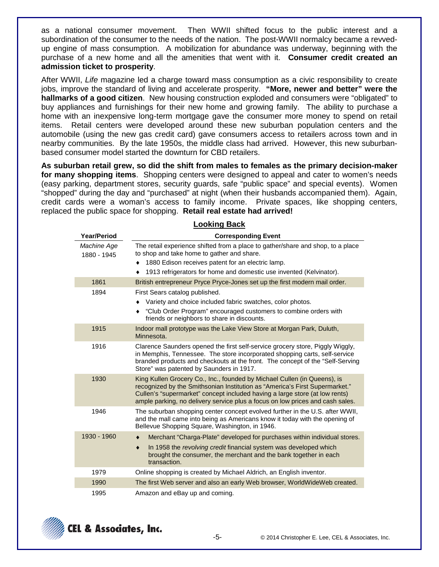as a national consumer movement. Then WWII shifted focus to the public interest and a subordination of the consumer to the needs of the nation. The post-WWII normalcy became a revvedup engine of mass consumption. A mobilization for abundance was underway, beginning with the purchase of a new home and all the amenities that went with it. **Consumer credit created an admission ticket to prosperity**.

After WWII, *Life* magazine led a charge toward mass consumption as a civic responsibility to create jobs, improve the standard of living and accelerate prosperity. **"More, newer and better" were the hallmarks of a good citizen**. New housing construction exploded and consumers were "obligated" to buy appliances and furnishings for their new home and growing family. The ability to purchase a home with an inexpensive long-term mortgage gave the consumer more money to spend on retail items. Retail centers were developed around these new suburban population centers and the automobile (using the new gas credit card) gave consumers access to retailers across town and in nearby communities. By the late 1950s, the middle class had arrived. However, this new suburbanbased consumer model started the downturn for CBD retailers.

**As suburban retail grew, so did the shift from males to females as the primary decision-maker for many shopping items**. Shopping centers were designed to appeal and cater to women's needs (easy parking, department stores, security guards, safe "public space" and special events). Women "shopped" during the day and "purchased" at night (when their husbands accompanied them). Again, credit cards were a woman's access to family income. Private spaces, like shopping centers, replaced the public space for shopping. **Retail real estate had arrived!**

| <b>Year/Period</b>         | <b>Corresponding Event</b>                                                                                                                                                                                                                                                                                              |  |  |  |
|----------------------------|-------------------------------------------------------------------------------------------------------------------------------------------------------------------------------------------------------------------------------------------------------------------------------------------------------------------------|--|--|--|
| Machine Age<br>1880 - 1945 | The retail experience shifted from a place to gather/share and shop, to a place<br>to shop and take home to gather and share.                                                                                                                                                                                           |  |  |  |
|                            | 1880 Edison receives patent for an electric lamp.                                                                                                                                                                                                                                                                       |  |  |  |
|                            | 1913 refrigerators for home and domestic use invented (Kelvinator).<br>٠                                                                                                                                                                                                                                                |  |  |  |
| 1861                       | British entrepreneur Pryce Pryce-Jones set up the first modern mail order.                                                                                                                                                                                                                                              |  |  |  |
| 1894                       | First Sears catalog published.<br>Variety and choice included fabric swatches, color photos.<br>"Club Order Program" encouraged customers to combine orders with<br>friends or neighbors to share in discounts.                                                                                                         |  |  |  |
| 1915                       | Indoor mall prototype was the Lake View Store at Morgan Park, Duluth,<br>Minnesota.                                                                                                                                                                                                                                     |  |  |  |
| 1916                       | Clarence Saunders opened the first self-service grocery store, Piggly Wiggly,<br>in Memphis, Tennessee. The store incorporated shopping carts, self-service<br>branded products and checkouts at the front. The concept of the "Self-Serving"<br>Store" was patented by Saunders in 1917.                               |  |  |  |
| 1930                       | King Kullen Grocery Co., Inc., founded by Michael Cullen (in Queens), is<br>recognized by the Smithsonian Institution as "America's First Supermarket."<br>Cullen's "supermarket" concept included having a large store (at low rents)<br>ample parking, no delivery service plus a focus on low prices and cash sales. |  |  |  |
| 1946                       | The suburban shopping center concept evolved further in the U.S. after WWII,<br>and the mall came into being as Americans know it today with the opening of<br>Bellevue Shopping Square, Washington, in 1946.                                                                                                           |  |  |  |
| 1930 - 1960                | Merchant "Charga-Plate" developed for purchases within individual stores.                                                                                                                                                                                                                                               |  |  |  |
|                            | In 1958 the revolving credit financial system was developed which<br>$\bullet$<br>brought the consumer, the merchant and the bank together in each<br>transaction.                                                                                                                                                      |  |  |  |
| 1979                       | Online shopping is created by Michael Aldrich, an English inventor.                                                                                                                                                                                                                                                     |  |  |  |
| 1990                       | The first Web server and also an early Web browser, WorldWideWeb created.                                                                                                                                                                                                                                               |  |  |  |
| 1995                       | Amazon and eBay up and coming.                                                                                                                                                                                                                                                                                          |  |  |  |

### **Looking Back**

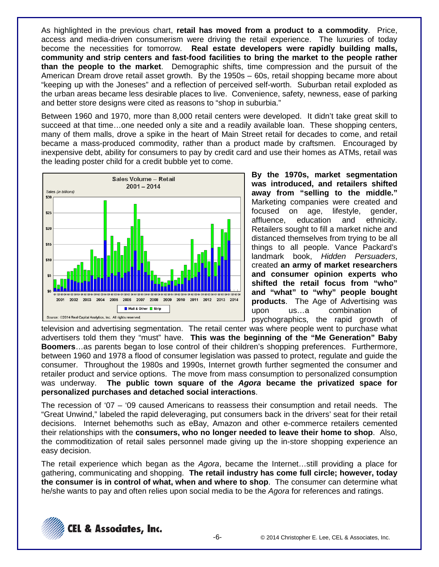As highlighted in the previous chart, **retail has moved from a product to a commodity**. Price, access and media-driven consumerism were driving the retail experience. The luxuries of today become the necessities for tomorrow. **Real estate developers were rapidly building malls, community and strip centers and fast-food facilities to bring the market to the people rather than the people to the market**. Demographic shifts, time compression and the pursuit of the American Dream drove retail asset growth. By the 1950s – 60s, retail shopping became more about "keeping up with the Joneses" and a reflection of perceived self-worth. Suburban retail exploded as the urban areas became less desirable places to live. Convenience, safety, newness, ease of parking and better store designs were cited as reasons to "shop in suburbia."

Between 1960 and 1970, more than 8,000 retail centers were developed. It didn't take great skill to succeed at that time…one needed only a site and a readily available loan. These shopping centers, many of them malls, drove a spike in the heart of Main Street retail for decades to come, and retail became a mass-produced commodity, rather than a product made by craftsmen. Encouraged by inexpensive debt, ability for consumers to pay by credit card and use their homes as ATMs, retail was the leading poster child for a credit bubble yet to come.



**By the 1970s, market segmentation was introduced, and retailers shifted away from "selling to the middle."**  Marketing companies were created and focused on age, lifestyle, gender, affluence, education and ethnicity. Retailers sought to fill a market niche and distanced themselves from trying to be all things to all people. Vance Packard's landmark book, *Hidden Persuaders*, created **an army of market researchers and consumer opinion experts who shifted the retail focus from "who" and "what" to "why" people bought products**. The Age of Advertising was upon us…a combination of psychographics, the rapid growth of

television and advertising segmentation. The retail center was where people went to purchase what advertisers told them they "must" have. **This was the beginning of the "Me Generation" Baby Boomers**…as parents began to lose control of their children's shopping preferences. Furthermore, between 1960 and 1978 a flood of consumer legislation was passed to protect, regulate and guide the consumer. Throughout the 1980s and 1990s, Internet growth further segmented the consumer and retailer product and service options. The move from mass consumption to personalized consumption was underway. **The public town square of the** *Agora* **became the privatized space for personalized purchases and detached social interactions**.

The recession of '07 – '09 caused Americans to reassess their consumption and retail needs. The "Great Unwind," labeled the rapid deleveraging, put consumers back in the drivers' seat for their retail decisions. Internet behemoths such as eBay, Amazon and other e-commerce retailers cemented their relationships with the **consumers, who no longer needed to leave their home to shop**. Also, the commoditization of retail sales personnel made giving up the in-store shopping experience an easy decision.

The retail experience which began as the *Agora*, became the Internet…still providing a place for gathering, communicating and shopping. **The retail industry has come full circle; however, today the consumer is in control of what, when and where to shop**. The consumer can determine what he/she wants to pay and often relies upon social media to be the *Agora* for references and ratings.

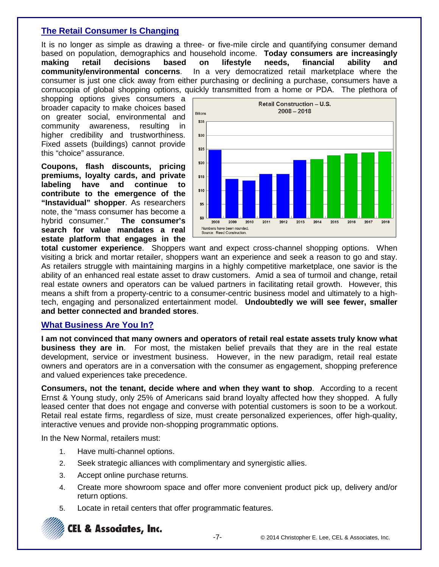# **The Retail Consumer Is Changing**

It is no longer as simple as drawing a three- or five-mile circle and quantifying consumer demand based on population, demographics and household income. **Today consumers are increasingly making retail decisions based on lifestyle needs, financial ability and community/environmental concerns**. In a very democratized retail marketplace where the consumer is just one click away from either purchasing or declining a purchase, consumers have a cornucopia of global shopping options, quickly transmitted from a home or PDA. The plethora of

shopping options gives consumers a broader capacity to make choices based on greater social, environmental and community awareness, resulting in higher credibility and trustworthiness. Fixed assets (buildings) cannot provide this "choice" assurance.

**Coupons, flash discounts, pricing premiums, loyalty cards, and private labeling have and continue to contribute to the emergence of the "Instavidual" shopper**. As researchers note, the "mass consumer has become a<br>hybrid consumer." The consumer's hybrid consumer." **search for value mandates a real estate platform that engages in the** 



**total customer experience**. Shoppers want and expect cross-channel shopping options. When visiting a brick and mortar retailer, shoppers want an experience and seek a reason to go and stay. As retailers struggle with maintaining margins in a highly competitive marketplace, one savior is the ability of an enhanced real estate asset to draw customers. Amid a sea of turmoil and change, retail real estate owners and operators can be valued partners in facilitating retail growth. However, this means a shift from a property-centric to a consumer-centric business model and ultimately to a hightech, engaging and personalized entertainment model. **Undoubtedly we will see fewer, smaller and better connected and branded stores**.

# **What Business Are You In?**

**I am not convinced that many owners and operators of retail real estate assets truly know what business they are in**. For most, the mistaken belief prevails that they are in the real estate development, service or investment business. However, in the new paradigm, retail real estate owners and operators are in a conversation with the consumer as engagement, shopping preference and valued experiences take precedence.

**Consumers, not the tenant, decide where and when they want to shop**. According to a recent Ernst & Young study, only 25% of Americans said brand loyalty affected how they shopped. A fully leased center that does not engage and converse with potential customers is soon to be a workout. Retail real estate firms, regardless of size, must create personalized experiences, offer high-quality, interactive venues and provide non-shopping programmatic options.

In the New Normal, retailers must:

- 1. Have multi-channel options.
- 2. Seek strategic alliances with complimentary and synergistic allies.
- 3. Accept online purchase returns.
- 4. Create more showroom space and offer more convenient product pick up, delivery and/or return options.
- 5. Locate in retail centers that offer programmatic features.

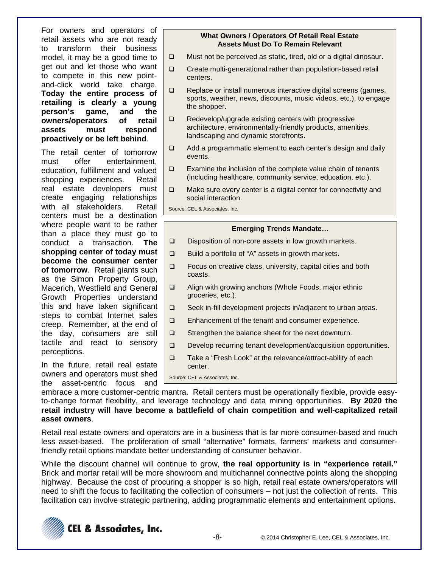For owners and operators of retail assets who are not ready to transform their business model, it may be a good time to get out and let those who want to compete in this new pointand-click world take charge. **Today the entire process of retailing is clearly a young person's game, and the owners/operators of retail assets must respond proactively or be left behind**.

The retail center of tomorrow must offer entertainment, education, fulfillment and valued shopping experiences. Retail real estate developers must create engaging relationships with all stakeholders. Retail centers must be a destination where people want to be rather than a place they must go to conduct a transaction. **The shopping center of today must become the consumer center of tomorrow**. Retail giants such as the Simon Property Group, Macerich, Westfield and General Growth Properties understand this and have taken significant steps to combat Internet sales creep. Remember, at the end of the day, consumers are still tactile and react to sensory perceptions.

In the future, retail real estate owners and operators must shed the asset-centric focus and

#### **What Owners / Operators Of Retail Real Estate Assets Must Do To Remain Relevant**

- $\Box$  Must not be perceived as static, tired, old or a digital dinosaur.
- $\Box$  Create multi-generational rather than population-based retail centers.
- $\Box$  Replace or install numerous interactive digital screens (games, sports, weather, news, discounts, music videos, etc.), to engage the shopper.
- $\Box$  Redevelop/upgrade existing centers with progressive architecture, environmentally-friendly products, amenities, landscaping and dynamic storefronts.
- $\Box$  Add a programmatic element to each center's design and daily events.
- $\square$  Examine the inclusion of the complete value chain of tenants (including healthcare, community service, education, etc.).
- $\Box$  Make sure every center is a digital center for connectivity and social interaction.

Source: CEL & Associates, Inc.

#### **Emerging Trends Mandate…**

- $\square$  Disposition of non-core assets in low growth markets.
- $\Box$  Build a portfolio of "A" assets in growth markets.
- $\Box$  Focus on creative class, university, capital cities and both coasts.
- □ Align with growing anchors (Whole Foods, major ethnic groceries, etc.).
- $\Box$  Seek in-fill development projects in/adjacent to urban areas.
- □ Enhancement of the tenant and consumer experience.
- $\Box$  Strengthen the balance sheet for the next downturn.
- Develop recurring tenant development/acquisition opportunities.
- □ Take a "Fresh Look" at the relevance/attract-ability of each center.

Source: CEL & Associates, Inc.

embrace a more customer-centric mantra. Retail centers must be operationally flexible, provide easyto-change format flexibility, and leverage technology and data mining opportunities. **By 2020 the retail industry will have become a battlefield of chain competition and well-capitalized retail asset owners**.

Retail real estate owners and operators are in a business that is far more consumer-based and much less asset-based. The proliferation of small "alternative" formats, farmers' markets and consumerfriendly retail options mandate better understanding of consumer behavior.

While the discount channel will continue to grow, **the real opportunity is in "experience retail."** Brick and mortar retail will be more showroom and multichannel connective points along the shopping highway. Because the cost of procuring a shopper is so high, retail real estate owners/operators will need to shift the focus to facilitating the collection of consumers – not just the collection of rents. This facilitation can involve strategic partnering, adding programmatic elements and entertainment options.

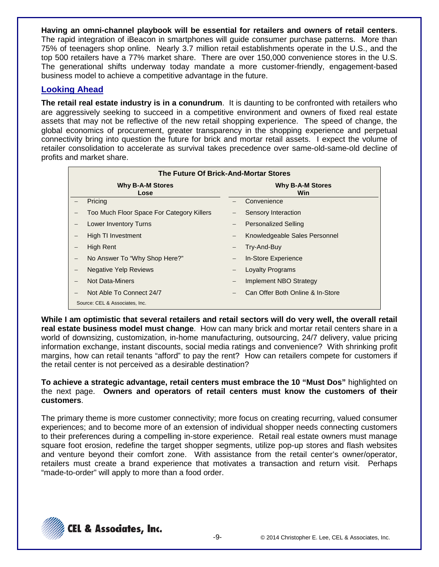**Having an omni-channel playbook will be essential for retailers and owners of retail centers**. The rapid integration of iBeacon in smartphones will guide consumer purchase patterns. More than 75% of teenagers shop online. Nearly 3.7 million retail establishments operate in the U.S., and the top 500 retailers have a 77% market share. There are over 150,000 convenience stores in the U.S. The generational shifts underway today mandate a more customer-friendly, engagement-based business model to achieve a competitive advantage in the future.

### **Looking Ahead**

**The retail real estate industry is in a conundrum**. It is daunting to be confronted with retailers who are aggressively seeking to succeed in a competitive environment and owners of fixed real estate assets that may not be reflective of the new retail shopping experience. The speed of change, the global economics of procurement, greater transparency in the shopping experience and perpetual connectivity bring into question the future for brick and mortar retail assets. I expect the volume of retailer consolidation to accelerate as survival takes precedence over same-old-same-old decline of profits and market share.

| The Future Of Brick-And-Mortar Stores |                                           |                          |                                  |  |  |
|---------------------------------------|-------------------------------------------|--------------------------|----------------------------------|--|--|
|                                       | <b>Why B-A-M Stores</b><br>Lose           |                          | <b>Why B-A-M Stores</b><br>Win   |  |  |
|                                       | Pricing                                   |                          | Convenience                      |  |  |
|                                       | Too Much Floor Space For Category Killers |                          | Sensory Interaction              |  |  |
|                                       | Lower Inventory Turns                     |                          | <b>Personalized Selling</b>      |  |  |
|                                       | High TI Investment                        | $\overline{\phantom{m}}$ | Knowledgeable Sales Personnel    |  |  |
|                                       | High Rent                                 |                          | Try-And-Buy                      |  |  |
|                                       | No Answer To "Why Shop Here?"             | -                        | In-Store Experience              |  |  |
|                                       | <b>Negative Yelp Reviews</b>              |                          | <b>Loyalty Programs</b>          |  |  |
|                                       | <b>Not Data-Miners</b>                    | $\qquad \qquad \qquad -$ | Implement NBO Strategy           |  |  |
|                                       | Not Able To Connect 24/7                  |                          | Can Offer Both Online & In-Store |  |  |
|                                       | Source: CEL & Associates, Inc.            |                          |                                  |  |  |

**While I am optimistic that several retailers and retail sectors will do very well, the overall retail real estate business model must change**. How can many brick and mortar retail centers share in a world of downsizing, customization, in-home manufacturing, outsourcing, 24/7 delivery, value pricing information exchange, instant discounts, social media ratings and convenience? With shrinking profit margins, how can retail tenants "afford" to pay the rent? How can retailers compete for customers if the retail center is not perceived as a desirable destination?

**To achieve a strategic advantage, retail centers must embrace the 10 "Must Dos"** highlighted on the next page. **Owners and operators of retail centers must know the customers of their customers**.

The primary theme is more customer connectivity; more focus on creating recurring, valued consumer experiences; and to become more of an extension of individual shopper needs connecting customers to their preferences during a compelling in-store experience. Retail real estate owners must manage square foot erosion, redefine the target shopper segments, utilize pop-up stores and flash websites and venture beyond their comfort zone. With assistance from the retail center's owner/operator, retailers must create a brand experience that motivates a transaction and return visit. Perhaps "made-to-order" will apply to more than a food order.

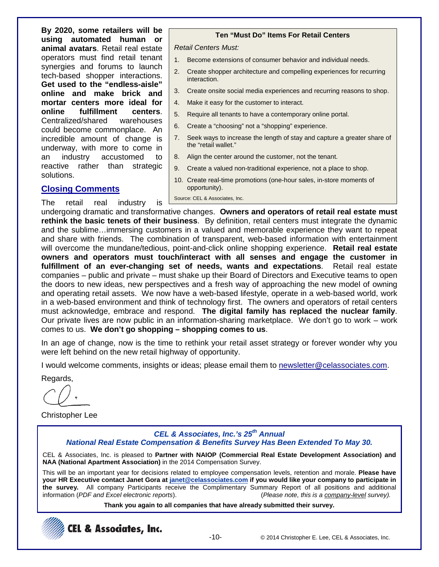**By 2020, some retailers will be using automated human or animal avatars**. Retail real estate operators must find retail tenant synergies and forums to launch tech-based shopper interactions. **Get used to the "endless-aisle" online and make brick and mortar centers more ideal for online fulfillment centers**. Centralized/shared warehouses could become commonplace. An incredible amount of change is underway, with more to come in an industry accustomed to reactive rather than strategic solutions.

# **Closing Comments**

The retail real industry is

#### **Ten "Must Do" Items For Retail Centers**

*Retail Centers Must:*

- 1. Become extensions of consumer behavior and individual needs.
- 2. Create shopper architecture and compelling experiences for recurring interaction.
- 3. Create onsite social media experiences and recurring reasons to shop.
- 4. Make it easy for the customer to interact.
- 5. Require all tenants to have a contemporary online portal.
- 6. Create a "choosing" not a "shopping" experience.
- 7. Seek ways to increase the length of stay and capture a greater share of the "retail wallet."
- 8. Align the center around the customer, not the tenant.
- 9. Create a valued non-traditional experience, not a place to shop.
- 10. Create real-time promotions (one-hour sales, in-store moments of opportunity).

Source: CEL & Associates, Inc.

undergoing dramatic and transformative changes. **Owners and operators of retail real estate must rethink the basic tenets of their business**. By definition, retail centers must integrate the dynamic and the sublime…immersing customers in a valued and memorable experience they want to repeat and share with friends. The combination of transparent, web-based information with entertainment will overcome the mundane/tedious, point-and-click online shopping experience. **Retail real estate owners and operators must touch/interact with all senses and engage the customer in fulfillment of an ever-changing set of needs, wants and expectations**. Retail real estate companies – public and private – must shake up their Board of Directors and Executive teams to open the doors to new ideas, new perspectives and a fresh way of approaching the new model of owning and operating retail assets. We now have a web-based lifestyle, operate in a web-based world, work in a web-based environment and think of technology first. The owners and operators of retail centers must acknowledge, embrace and respond. **The digital family has replaced the nuclear family**. Our private lives are now public in an information-sharing marketplace. We don't go to work – work comes to us. **We don't go shopping – shopping comes to us**.

In an age of change, now is the time to rethink your retail asset strategy or forever wonder why you were left behind on the new retail highway of opportunity.

I would welcome comments, insights or ideas; please email them to newsletter@celassociates.com.

Regards,

Christopher Lee

# *CEL & Associates, Inc.'s 25th Annual*

*National Real Estate Compensation & Benefits Survey Has Been Extended To May 30.*

CEL & Associates, Inc. is pleased to **Partner with NAIOP (Commercial Real Estate Development Association) and NAA (National Apartment Association)** in the 2014 Compensation Survey.

This will be an important year for decisions related to employee compensation levels, retention and morale. **Please have your HR Executive contact Janet Gora a[t janet@celassociates.com](mailto:janet@celassociates.com) if you would like your company to participate in the survey.** All company Participants receive the Complimentary Summary Report of all positions and additional information (PDF and Excel electronic reports). information (*PDF and Excel electronic reports*).

**Thank you again to all companies that have already submitted their survey.**

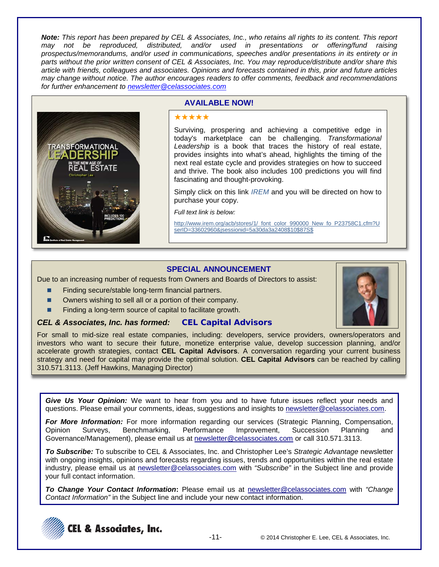*Note: This report has been prepared by CEL & Associates, Inc., who retains all rights to its content. This report may not be reproduced, distributed, and/or used in presentations or offering/fund raising prospectus/memorandums, and/or used in communications, speeches and/or presentations in its entirety or in parts without the prior written consent of CEL & Associates, Inc. You may reproduce/distribute and/or share this article with friends, colleagues and associates. Opinions and forecasts contained in this, prior and future articles may change without notice. The author encourages readers to offer comments, feedback and recommendations for further enhancement to [newsletter@celassociates.com](mailto:newsletter@celassociates.com)*



### **AVAILABLE NOW!**

#### \*\*\*\*\*

Surviving, prospering and achieving a competitive edge in today's marketplace can be challenging. *Transformational Leadership* is a book that traces the history of real estate, provides insights into what's ahead, highlights the timing of the next real estate cycle and provides strategies on how to succeed and thrive. The book also includes 100 predictions you will find fascinating and thought-provoking.

Simply click on this link *[IREM](http://www.irem.org/acb/stores/1/_font_color_990000_New_fo_P23758C1.cfm?UserID=33602960&jsessionid=5a30da3a2408$10$87S$)* and you will be directed on how to purchase your copy.

*Full text link is below:*

http://www.irem.org/acb/stores/1/\_font\_color\_990000\_New\_fo\_P23758C1.cfm?U serID=33602960&jsessionid=5a30da3a2408\$10\$87S\$

# **SPECIAL ANNOUNCEMENT**

Due to an increasing number of requests from Owners and Boards of Directors to assist:

- **Finding secure/stable long-term financial partners.**
- Owners wishing to sell all or a portion of their company.
- Finding a long-term source of capital to facilitate growth.

### *CEL & Associates, Inc. has formed:* **CEL Capital Advisors**

For small to mid-size real estate companies, including: developers, service providers, owners/operators and investors who want to secure their future, monetize enterprise value, develop succession planning, and/or accelerate growth strategies, contact **CEL Capital Advisors**. A conversation regarding your current business strategy and need for capital may provide the optimal solution. **CEL Capital Advisors** can be reached by calling 310.571.3113. (Jeff Hawkins, Managing Director)

*Give Us Your Opinion:* We want to hear from you and to have future issues reflect your needs and questions. Please email your comments, ideas, suggestions and insights to newsletter@celassociates.com.

*For More Information:* For more information regarding our services (Strategic Planning, Compensation, Opinion Surveys, Benchmarking, Performance Improvement, Succession Planning and Governance/Management), please email us at newsletter@celassociates.com or call 310.571.3113.

*To Subscribe:* To subscribe to CEL & Associates, Inc. and Christopher Lee's *Strategic Advantage* newsletter with ongoing insights, opinions and forecasts regarding issues, trends and opportunities within the real estate industry, please email us at newsletter@celassociates.com with *"Subscribe"* in the Subject line and provide your full contact information.

*To Change Your Contact Information***:** Please email us at newsletter@celassociates.com with *"Change Contact Information"* in the Subject line and include your new contact information.